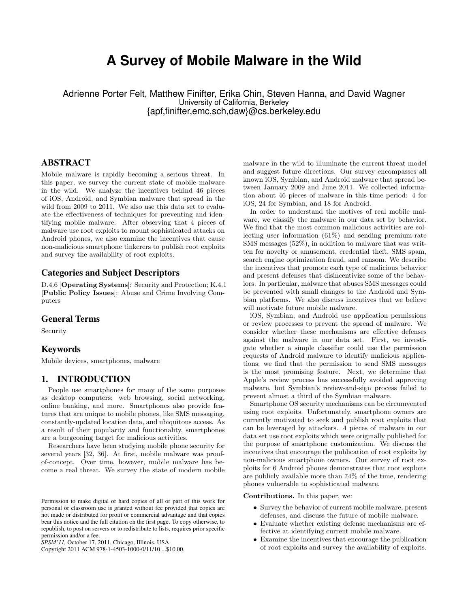# **A Survey of Mobile Malware in the Wild**

Adrienne Porter Felt, Matthew Finifter, Erika Chin, Steven Hanna, and David Wagner University of California, Berkeley {apf,finifter,emc,sch,daw}@cs.berkeley.edu

## ABSTRACT

Mobile malware is rapidly becoming a serious threat. In this paper, we survey the current state of mobile malware in the wild. We analyze the incentives behind 46 pieces of iOS, Android, and Symbian malware that spread in the wild from 2009 to 2011. We also use this data set to evaluate the effectiveness of techniques for preventing and identifying mobile malware. After observing that 4 pieces of malware use root exploits to mount sophisticated attacks on Android phones, we also examine the incentives that cause non-malicious smartphone tinkerers to publish root exploits and survey the availability of root exploits.

## Categories and Subject Descriptors

D.4.6 [Operating Systems]: Security and Protection; K.4.1 [Public Policy Issues]: Abuse and Crime Involving Computers

#### General Terms

Security

#### Keywords

Mobile devices, smartphones, malware

## 1. INTRODUCTION

People use smartphones for many of the same purposes as desktop computers: web browsing, social networking, online banking, and more. Smartphones also provide features that are unique to mobile phones, like SMS messaging, constantly-updated location data, and ubiquitous access. As a result of their popularity and functionality, smartphones are a burgeoning target for malicious activities.

Researchers have been studying mobile phone security for several years [32, 36]. At first, mobile malware was proofof-concept. Over time, however, mobile malware has become a real threat. We survey the state of modern mobile

Copyright 2011 ACM 978-1-4503-1000-0/11/10 ...\$10.00.

malware in the wild to illuminate the current threat model and suggest future directions. Our survey encompasses all known iOS, Symbian, and Android malware that spread between January 2009 and June 2011. We collected information about 46 pieces of malware in this time period: 4 for iOS, 24 for Symbian, and 18 for Android.

In order to understand the motives of real mobile malware, we classify the malware in our data set by behavior. We find that the most common malicious activities are collecting user information (61%) and sending premium-rate SMS messages (52%), in addition to malware that was written for novelty or amusement, credential theft, SMS spam, search engine optimization fraud, and ransom. We describe the incentives that promote each type of malicious behavior and present defenses that disincentivize some of the behaviors. In particular, malware that abuses SMS messages could be prevented with small changes to the Android and Symbian platforms. We also discuss incentives that we believe will motivate future mobile malware.

iOS, Symbian, and Android use application permissions or review processes to prevent the spread of malware. We consider whether these mechanisms are effective defenses against the malware in our data set. First, we investigate whether a simple classifier could use the permission requests of Android malware to identify malicious applications; we find that the permission to send SMS messages is the most promising feature. Next, we determine that Apple's review process has successfully avoided approving malware, but Symbian's review-and-sign process failed to prevent almost a third of the Symbian malware.

Smartphone OS security mechanisms can be circumvented using root exploits. Unfortunately, smartphone owners are currently motivated to seek and publish root exploits that can be leveraged by attackers. 4 pieces of malware in our data set use root exploits which were originally published for the purpose of smartphone customization. We discuss the incentives that encourage the publication of root exploits by non-malicious smartphone owners. Our survey of root exploits for 6 Android phones demonstrates that root exploits are publicly available more than 74% of the time, rendering phones vulnerable to sophisticated malware.

Contributions. In this paper, we:

- Survey the behavior of current mobile malware, present defenses, and discuss the future of mobile malware.
- Evaluate whether existing defense mechanisms are effective at identifying current mobile malware.
- Examine the incentives that encourage the publication of root exploits and survey the availability of exploits.

Permission to make digital or hard copies of all or part of this work for personal or classroom use is granted without fee provided that copies are not made or distributed for profit or commercial advantage and that copies bear this notice and the full citation on the first page. To copy otherwise, to republish, to post on servers or to redistribute to lists, requires prior specific permission and/or a fee.

*SPSM'11,* October 17, 2011, Chicago, Illinois, USA.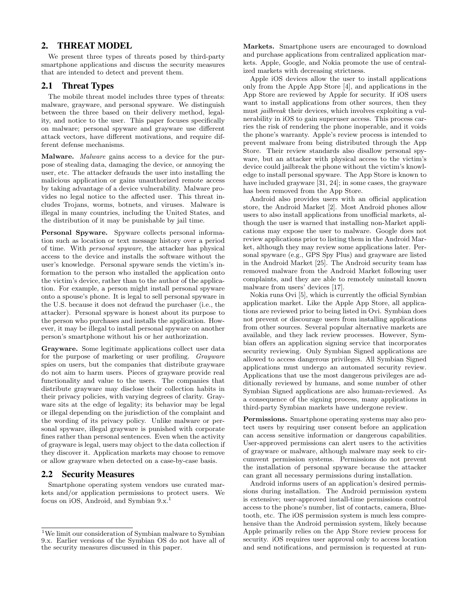## 2. THREAT MODEL

We present three types of threats posed by third-party smartphone applications and discuss the security measures that are intended to detect and prevent them.

#### 2.1 Threat Types

The mobile threat model includes three types of threats: malware, grayware, and personal spyware. We distinguish between the three based on their delivery method, legality, and notice to the user. This paper focuses specifically on malware; personal spyware and grayware use different attack vectors, have different motivations, and require different defense mechanisms.

Malware. Malware gains access to a device for the purpose of stealing data, damaging the device, or annoying the user, etc. The attacker defrauds the user into installing the malicious application or gains unauthorized remote access by taking advantage of a device vulnerability. Malware provides no legal notice to the affected user. This threat includes Trojans, worms, botnets, and viruses. Malware is illegal in many countries, including the United States, and the distribution of it may be punishable by jail time.

Personal Spyware. Spyware collects personal information such as location or text message history over a period of time. With personal spyware, the attacker has physical access to the device and installs the software without the user's knowledge. Personal spyware sends the victim's information to the person who installed the application onto the victim's device, rather than to the author of the application. For example, a person might install personal spyware onto a spouse's phone. It is legal to sell personal spyware in the U.S. because it does not defraud the purchaser (i.e., the attacker). Personal spyware is honest about its purpose to the person who purchases and installs the application. However, it may be illegal to install personal spyware on another person's smartphone without his or her authorization.

Grayware. Some legitimate applications collect user data for the purpose of marketing or user profiling. Grayware spies on users, but the companies that distribute grayware do not aim to harm users. Pieces of grayware provide real functionality and value to the users. The companies that distribute grayware may disclose their collection habits in their privacy policies, with varying degrees of clarity. Grayware sits at the edge of legality; its behavior may be legal or illegal depending on the jurisdiction of the complaint and the wording of its privacy policy. Unlike malware or personal spyware, illegal grayware is punished with corporate fines rather than personal sentences. Even when the activity of grayware is legal, users may object to the data collection if they discover it. Application markets may choose to remove or allow grayware when detected on a case-by-case basis.

#### 2.2 Security Measures

Smartphone operating system vendors use curated markets and/or application permissions to protect users. We focus on iOS, Android, and Symbian 9.x.<sup>1</sup>

Markets. Smartphone users are encouraged to download and purchase applications from centralized application markets. Apple, Google, and Nokia promote the use of centralized markets with decreasing strictness.

Apple iOS devices allow the user to install applications only from the Apple App Store [4], and applications in the App Store are reviewed by Apple for security. If iOS users want to install applications from other sources, then they must *jailbreak* their devices, which involves exploiting a vulnerability in iOS to gain superuser access. This process carries the risk of rendering the phone inoperable, and it voids the phone's warranty. Apple's review process is intended to prevent malware from being distributed through the App Store. Their review standards also disallow personal spyware, but an attacker with physical access to the victim's device could jailbreak the phone without the victim's knowledge to install personal spyware. The App Store is known to have included grayware [31, 24]; in some cases, the grayware has been removed from the App Store.

Android also provides users with an official application store, the Android Market [2]. Most Android phones allow users to also install applications from unofficial markets, although the user is warned that installing non-Market applications may expose the user to malware. Google does not review applications prior to listing them in the Android Market, although they may review some applications later. Personal spyware (e.g., GPS Spy Plus) and grayware are listed in the Android Market [25]. The Android security team has removed malware from the Android Market following user complaints, and they are able to remotely uninstall known malware from users' devices [17].

Nokia runs Ovi [5], which is currently the official Symbian application market. Like the Apple App Store, all applications are reviewed prior to being listed in Ovi. Symbian does not prevent or discourage users from installing applications from other sources. Several popular alternative markets are available, and they lack review processes. However, Symbian offers an application signing service that incorporates security reviewing. Only Symbian Signed applications are allowed to access dangerous privileges. All Symbian Signed applications must undergo an automated security review. Applications that use the most dangerous privileges are additionally reviewed by humans, and some number of other Symbian Signed applications are also human-reviewed. As a consequence of the signing process, many applications in third-party Symbian markets have undergone review.

Permissions. Smartphone operating systems may also protect users by requiring user consent before an application can access sensitive information or dangerous capabilities. User-approved permissions can alert users to the activities of grayware or malware, although malware may seek to circumvent permission systems. Permissions do not prevent the installation of personal spyware because the attacker can grant all necessary permissions during installation.

Android informs users of an application's desired permissions during installation. The Android permission system is extensive; user-approved install-time permissions control access to the phone's number, list of contacts, camera, Bluetooth, etc. The iOS permission system is much less comprehensive than the Android permission system, likely because Apple primarily relies on the App Store review process for security. iOS requires user approval only to access location and send notifications, and permission is requested at run-

 $^{\rm 1}{\rm We}$  limit our consideration of Symbian malware to Symbian 9.x. Earlier versions of the Symbian OS do not have all of the security measures discussed in this paper.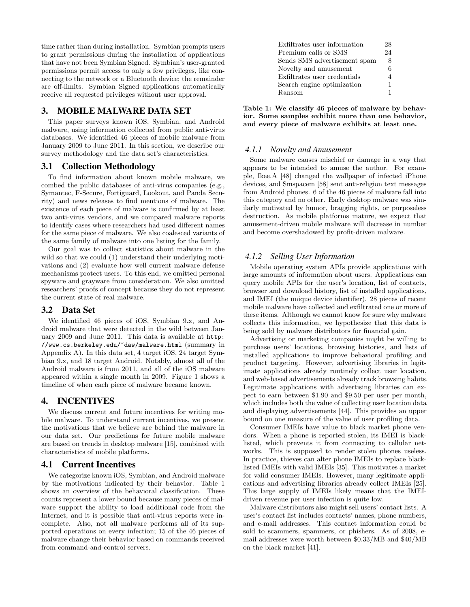time rather than during installation. Symbian prompts users to grant permissions during the installation of applications that have not been Symbian Signed. Symbian's user-granted permissions permit access to only a few privileges, like connecting to the network or a Bluetooth device; the remainder are off-limits. Symbian Signed applications automatically receive all requested privileges without user approval.

#### 3. MOBILE MALWARE DATA SET

This paper surveys known iOS, Symbian, and Android malware, using information collected from public anti-virus databases. We identified 46 pieces of mobile malware from January 2009 to June 2011. In this section, we describe our survey methodology and the data set's characteristics.

#### 3.1 Collection Methodology

To find information about known mobile malware, we combed the public databases of anti-virus companies (e.g., Symantec, F-Secure, Fortiguard, Lookout, and Panda Security) and news releases to find mentions of malware. The existence of each piece of malware is confirmed by at least two anti-virus vendors, and we compared malware reports to identify cases where researchers had used different names for the same piece of malware. We also coalesced variants of the same family of malware into one listing for the family.

Our goal was to collect statistics about malware in the wild so that we could  $(1)$  understand their underlying motivations and (2) evaluate how well current malware defense mechanisms protect users. To this end, we omitted personal spyware and grayware from consideration. We also omitted researchers' proofs of concept because they do not represent the current state of real malware.

#### 3.2 Data Set

We identified 46 pieces of iOS, Symbian 9.x, and Android malware that were detected in the wild between January 2009 and June 2011. This data is available at http: //www.cs.berkeley.edu/~daw/malware.html (summary in Appendix A). In this data set, 4 target iOS, 24 target Symbian 9.x, and 18 target Android. Notably, almost all of the Android malware is from 2011, and all of the iOS malware appeared within a single month in 2009. Figure 1 shows a timeline of when each piece of malware became known.

## 4. INCENTIVES

We discuss current and future incentives for writing mobile malware. To understand current incentives, we present the motivations that we believe are behind the malware in our data set. Our predictions for future mobile malware are based on trends in desktop malware [15], combined with characteristics of mobile platforms.

#### 4.1 Current Incentives

We categorize known iOS, Symbian, and Android malware by the motivations indicated by their behavior. Table 1 shows an overview of the behavioral classification. These counts represent a lower bound because many pieces of malware support the ability to load additional code from the Internet, and it is possible that anti-virus reports were incomplete. Also, not all malware performs all of its supported operations on every infection; 15 of the 46 pieces of malware change their behavior based on commands received from command-and-control servers.

| Exfiltrates user information | 28 |
|------------------------------|----|
| Premium calls or SMS         | 24 |
| Sends SMS advertisement spam | 8  |
| Novelty and amusement        | 6  |
| Exfiltrates user credentials | 4  |
| Search engine optimization   | 1  |
| Ransom                       | 1. |

Table 1: We classify 46 pieces of malware by behavior. Some samples exhibit more than one behavior, and every piece of malware exhibits at least one.

#### *4.1.1 Novelty and Amusement*

Some malware causes mischief or damage in a way that appears to be intended to amuse the author. For example, Ikee.A [48] changed the wallpaper of infected iPhone devices, and Smspacem [58] sent anti-religion text messages from Android phones. 6 of the 46 pieces of malware fall into this category and no other. Early desktop malware was similarly motivated by humor, bragging rights, or purposeless destruction. As mobile platforms mature, we expect that amusement-driven mobile malware will decrease in number and become overshadowed by profit-driven malware.

#### *4.1.2 Selling User Information*

Mobile operating system APIs provide applications with large amounts of information about users. Applications can query mobile APIs for the user's location, list of contacts, browser and download history, list of installed applications, and IMEI (the unique device identifier). 28 pieces of recent mobile malware have collected and exfiltrated one or more of these items. Although we cannot know for sure why malware collects this information, we hypothesize that this data is being sold by malware distributors for financial gain.

Advertising or marketing companies might be willing to purchase users' locations, browsing histories, and lists of installed applications to improve behavioral profiling and product targeting. However, advertising libraries in legitimate applications already routinely collect user location, and web-based advertisements already track browsing habits. Legitimate applications with advertising libraries can expect to earn between \$1.90 and \$9.50 per user per month, which includes both the value of collecting user location data and displaying advertisements [44]. This provides an upper bound on one measure of the value of user profiling data.

Consumer IMEIs have value to black market phone vendors. When a phone is reported stolen, its IMEI is blacklisted, which prevents it from connecting to cellular networks. This is supposed to render stolen phones useless. In practice, thieves can alter phone IMEIs to replace blacklisted IMEIs with valid IMEIs [35]. This motivates a market for valid consumer IMEIs. However, many legitimate applications and advertising libraries already collect IMEIs [25]. This large supply of IMEIs likely means that the IMEIdriven revenue per user infection is quite low.

Malware distributors also might sell users' contact lists. A user's contact list includes contacts' names, phone numbers, and e-mail addresses. This contact information could be sold to scammers, spammers, or phishers. As of 2008, email addresses were worth between \$0.33/MB and \$40/MB on the black market [41].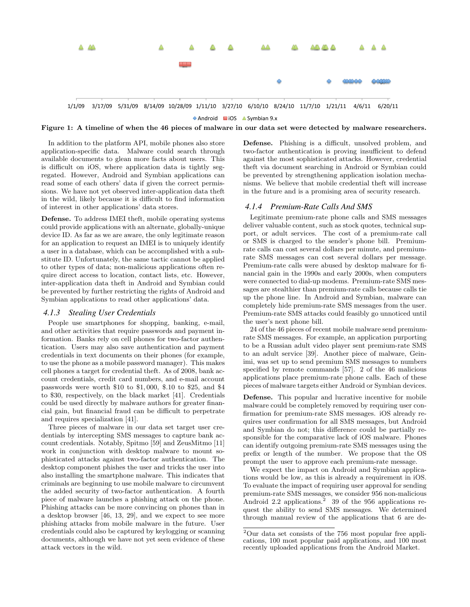

1/1/09 3/17/09 5/31/09 8/14/09 10/28/09 1/11/10 3/27/10 6/10/10 8/24/10 11/7/10 1/21/11 4/6/11 6/20/11

 $\triangle$  Android  $\Box$  iOS  $\triangle$  Symbian 9.x

Figure 1: A timeline of when the 46 pieces of malware in our data set were detected by malware researchers.

In addition to the platform API, mobile phones also store application-specific data. Malware could search through available documents to glean more facts about users. This is difficult on iOS, where application data is tightly segregated. However, Android and Symbian applications can read some of each others' data if given the correct permissions. We have not yet observed inter-application data theft in the wild, likely because it is difficult to find information of interest in other applications' data stores.

Defense. To address IMEI theft, mobile operating systems could provide applications with an alternate, globally-unique device ID. As far as we are aware, the only legitimate reason for an application to request an IMEI is to uniquely identify a user in a database, which can be accomplished with a substitute ID. Unfortunately, the same tactic cannot be applied to other types of data; non-malicious applications often require direct access to location, contact lists, etc. However, inter-application data theft in Android and Symbian could be prevented by further restricting the rights of Android and Symbian applications to read other applications' data.

#### *4.1.3 Stealing User Credentials*

People use smartphones for shopping, banking, e-mail, and other activities that require passwords and payment information. Banks rely on cell phones for two-factor authentication. Users may also save authentication and payment credentials in text documents on their phones (for example, to use the phone as a mobile password manager). This makes cell phones a target for credential theft. As of 2008, bank account credentials, credit card numbers, and e-mail account passwords were worth \$10 to \$1, 000, \$.10 to \$25, and \$4 to \$30, respectively, on the black market [41]. Credentials could be used directly by malware authors for greater financial gain, but financial fraud can be difficult to perpetrate and requires specialization [41].

Three pieces of malware in our data set target user credentials by intercepting SMS messages to capture bank account credentials. Notably, Spitmo [59] and ZeusMitmo [11] work in conjunction with desktop malware to mount sophisticated attacks against two-factor authentication. The desktop component phishes the user and tricks the user into also installing the smartphone malware. This indicates that criminals are beginning to use mobile malware to circumvent the added security of two-factor authentication. A fourth piece of malware launches a phishing attack on the phone. Phishing attacks can be more convincing on phones than in a desktop browser [46, 13, 29], and we expect to see more phishing attacks from mobile malware in the future. User credentials could also be captured by keylogging or scanning documents, although we have not yet seen evidence of these attack vectors in the wild.

Defense. Phishing is a difficult, unsolved problem, and two-factor authentication is proving insufficient to defend against the most sophisticated attacks. However, credential theft via document searching in Android or Symbian could be prevented by strengthening application isolation mechanisms. We believe that mobile credential theft will increase in the future and is a promising area of security research.

#### *4.1.4 Premium-Rate Calls And SMS*

Legitimate premium-rate phone calls and SMS messages deliver valuable content, such as stock quotes, technical support, or adult services. The cost of a premium-rate call or SMS is charged to the sender's phone bill. Premiumrate calls can cost several dollars per minute, and premiumrate SMS messages can cost several dollars per message. Premium-rate calls were abused by desktop malware for financial gain in the 1990s and early 2000s, when computers were connected to dial-up modems. Premium-rate SMS messages are stealthier than premium-rate calls because calls tie up the phone line. In Android and Symbian, malware can completely hide premium-rate SMS messages from the user. Premium-rate SMS attacks could feasibly go unnoticed until the user's next phone bill.

24 of the 46 pieces of recent mobile malware send premiumrate SMS messages. For example, an application purporting to be a Russian adult video player sent premium-rate SMS to an adult service [39]. Another piece of malware, Geinimi, was set up to send premium SMS messages to numbers specified by remote commands [57]. 2 of the 46 malicious applications place premium-rate phone calls. Each of these pieces of malware targets either Android or Symbian devices.

Defense. This popular and lucrative incentive for mobile malware could be completely removed by requiring user confirmation for premium-rate SMS messages. iOS already requires user confirmation for all SMS messages, but Android and Symbian do not; this difference could be partially responsible for the comparative lack of iOS malware. Phones can identify outgoing premium-rate SMS messages using the prefix or length of the number. We propose that the OS prompt the user to approve each premium-rate message.

We expect the impact on Android and Symbian applications would be low, as this is already a requirement in iOS. To evaluate the impact of requiring user approval for sending premium-rate SMS messages, we consider 956 non-malicious Android 2.2 applications.<sup>2</sup> 39 of the 956 applications request the ability to send SMS messages. We determined through manual review of the applications that 6 are de-

 $2$ Our data set consists of the 756 most popular free applications, 100 most popular paid applications, and 100 most recently uploaded applications from the Android Market.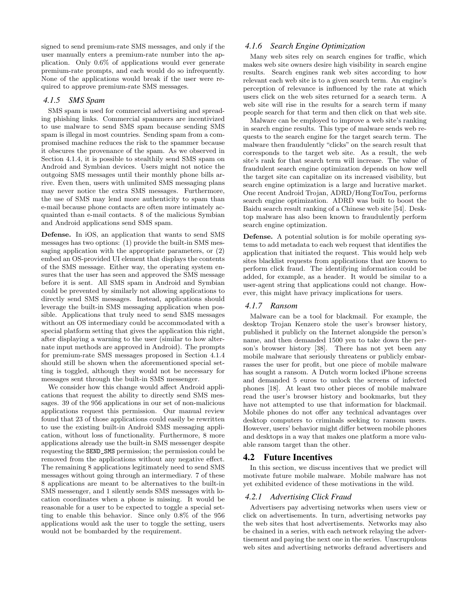signed to send premium-rate SMS messages, and only if the user manually enters a premium-rate number into the application. Only 0.6% of applications would ever generate premium-rate prompts, and each would do so infrequently. None of the applications would break if the user were required to approve premium-rate SMS messages.

## *4.1.5 SMS Spam*

SMS spam is used for commercial advertising and spreading phishing links. Commercial spammers are incentivized to use malware to send SMS spam because sending SMS spam is illegal in most countries. Sending spam from a compromised machine reduces the risk to the spammer because it obscures the provenance of the spam. As we observed in Section 4.1.4, it is possible to stealthily send SMS spam on Android and Symbian devices. Users might not notice the outgoing SMS messages until their monthly phone bills arrive. Even then, users with unlimited SMS messaging plans may never notice the extra SMS messages. Furthermore, the use of SMS may lend more authenticity to spam than e-mail because phone contacts are often more intimately acquainted than e-mail contacts. 8 of the malicious Symbian and Android applications send SMS spam.

Defense. In iOS, an application that wants to send SMS messages has two options: (1) provide the built-in SMS messaging application with the appropriate parameters, or (2) embed an OS-provided UI element that displays the contents of the SMS message. Either way, the operating system ensures that the user has seen and approved the SMS message before it is sent. All SMS spam in Android and Symbian could be prevented by similarly not allowing applications to directly send SMS messages. Instead, applications should leverage the built-in SMS messaging application when possible. Applications that truly need to send SMS messages without an OS intermediary could be accommodated with a special platform setting that gives the application this right, after displaying a warning to the user (similar to how alternate input methods are approved in Android). The prompts for premium-rate SMS messages proposed in Section 4.1.4 should still be shown when the aforementioned special setting is toggled, although they would not be necessary for messages sent through the built-in SMS messenger.

We consider how this change would affect Android applications that request the ability to directly send SMS messages. 39 of the 956 applications in our set of non-malicious applications request this permission. Our manual review found that 23 of those applications could easily be rewritten to use the existing built-in Android SMS messaging application, without loss of functionality. Furthermore, 8 more applications already use the built-in SMS messenger despite requesting the SEND\_SMS permission; the permission could be removed from the applications without any negative effect. The remaining 8 applications legitimately need to send SMS messages without going through an intermediary. 7 of these 8 applications are meant to be alternatives to the built-in SMS messenger, and 1 silently sends SMS messages with location coordinates when a phone is missing. It would be reasonable for a user to be expected to toggle a special setting to enable this behavior. Since only 0.8% of the 956 applications would ask the user to toggle the setting, users would not be bombarded by the requirement.

#### *4.1.6 Search Engine Optimization*

Many web sites rely on search engines for traffic, which makes web site owners desire high visibility in search engine results. Search engines rank web sites according to how relevant each web site is to a given search term. An engine's perception of relevance is influenced by the rate at which users click on the web sites returned for a search term. A web site will rise in the results for a search term if many people search for that term and then click on that web site.

Malware can be employed to improve a web site's ranking in search engine results. This type of malware sends web requests to the search engine for the target search term. The malware then fraudulently "clicks" on the search result that corresponds to the target web site. As a result, the web site's rank for that search term will increase. The value of fraudulent search engine optimization depends on how well the target site can capitalize on its increased visibility, but search engine optimization is a large and lucrative market. One recent Android Trojan, ADRD/HongTouTou, performs search engine optimization. ADRD was built to boost the Baidu search result ranking of a Chinese web site [54]. Desktop malware has also been known to fraudulently perform search engine optimization.

Defense. A potential solution is for mobile operating systems to add metadata to each web request that identifies the application that initiated the request. This would help web sites blacklist requests from applications that are known to perform click fraud. The identifying information could be added, for example, as a header. It would be similar to a user-agent string that applications could not change. However, this might have privacy implications for users.

#### *4.1.7 Ransom*

Malware can be a tool for blackmail. For example, the desktop Trojan Kenzero stole the user's browser history, published it publicly on the Internet alongside the person's name, and then demanded 1500 yen to take down the person's browser history [38]. There has not yet been any mobile malware that seriously threatens or publicly embarrasses the user for profit, but one piece of mobile malware has sought a ransom. A Dutch worm locked iPhone screens and demanded 5 euros to unlock the screens of infected phones [18]. At least two other pieces of mobile malware read the user's browser history and bookmarks, but they have not attempted to use that information for blackmail. Mobile phones do not offer any technical advantages over desktop computers to criminals seeking to ransom users. However, users' behavior might differ between mobile phones and desktops in a way that makes one platform a more valuable ransom target than the other.

#### 4.2 Future Incentives

In this section, we discuss incentives that we predict will motivate future mobile malware. Mobile malware has not yet exhibited evidence of these motivations in the wild.

#### *4.2.1 Advertising Click Fraud*

Advertisers pay advertising networks when users view or click on advertisements. In turn, advertising networks pay the web sites that host advertisements. Networks may also be chained in a series, with each network relaying the advertisement and paying the next one in the series. Unscrupulous web sites and advertising networks defraud advertisers and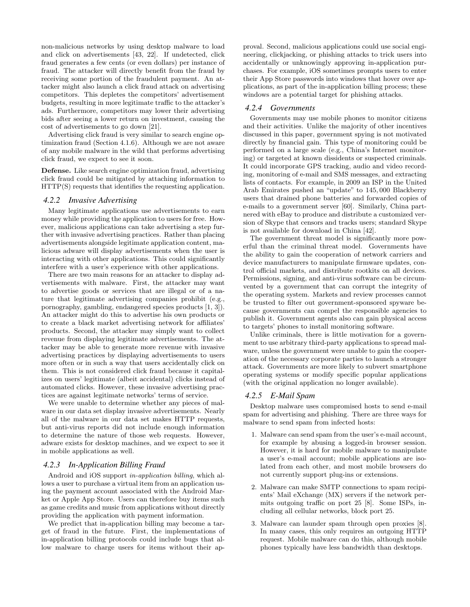non-malicious networks by using desktop malware to load and click on advertisements [43, 22]. If undetected, click fraud generates a few cents (or even dollars) per instance of fraud. The attacker will directly benefit from the fraud by receiving some portion of the fraudulent payment. An attacker might also launch a click fraud attack on advertising competitors. This depletes the competitors' advertisement budgets, resulting in more legitimate traffic to the attacker's ads. Furthermore, competitors may lower their advertising bids after seeing a lower return on investment, causing the cost of advertisements to go down [21].

Advertising click fraud is very similar to search engine optimization fraud (Section 4.1.6). Although we are not aware of any mobile malware in the wild that performs advertising click fraud, we expect to see it soon.

Defense. Like search engine optimization fraud, advertising click fraud could be mitigated by attaching information to HTTP(S) requests that identifies the requesting application.

#### *4.2.2 Invasive Advertising*

Many legitimate applications use advertisements to earn money while providing the application to users for free. However, malicious applications can take advertising a step further with invasive advertising practices. Rather than placing advertisements alongside legitimate application content, malicious adware will display advertisements when the user is interacting with other applications. This could significantly interfere with a user's experience with other applications.

There are two main reasons for an attacker to display advertisements with malware. First, the attacker may want to advertise goods or services that are illegal or of a nature that legitimate advertising companies prohibit (e.g., pornography, gambling, endangered species products [1, 3]). An attacker might do this to advertise his own products or to create a black market advertising network for affiliates' products. Second, the attacker may simply want to collect revenue from displaying legitimate advertisements. The attacker may be able to generate more revenue with invasive advertising practices by displaying advertisements to users more often or in such a way that users accidentally click on them. This is not considered click fraud because it capitalizes on users' legitimate (albeit accidental) clicks instead of automated clicks. However, these invasive advertising practices are against legitimate networks' terms of service.

We were unable to determine whether any pieces of malware in our data set display invasive advertisements. Nearly all of the malware in our data set makes HTTP requests, but anti-virus reports did not include enough information to determine the nature of those web requests. However, adware exists for desktop machines, and we expect to see it in mobile applications as well.

#### *4.2.3 In-Application Billing Fraud*

Android and iOS support in-application billing, which allows a user to purchase a virtual item from an application using the payment account associated with the Android Market or Apple App Store. Users can therefore buy items such as game credits and music from applications without directly providing the application with payment information.

We predict that in-application billing may become a target of fraud in the future. First, the implementations of in-application billing protocols could include bugs that allow malware to charge users for items without their approval. Second, malicious applications could use social engineering, clickjacking, or phishing attacks to trick users into accidentally or unknowingly approving in-application purchases. For example, iOS sometimes prompts users to enter their App Store passwords into windows that hover over applications, as part of the in-application billing process; these windows are a potential target for phishing attacks.

#### *4.2.4 Governments*

Governments may use mobile phones to monitor citizens and their activities. Unlike the majority of other incentives discussed in this paper, government spying is not motivated directly by financial gain. This type of monitoring could be performed on a large scale (e.g., China's Internet monitoring) or targeted at known dissidents or suspected criminals. It could incorporate GPS tracking, audio and video recording, monitoring of e-mail and SMS messages, and extracting lists of contacts. For example, in 2009 an ISP in the United Arab Emirates pushed an "update" to 145, 000 Blackberry users that drained phone batteries and forwarded copies of e-mails to a government server [60]. Similarly, China partnered with eBay to produce and distribute a customized version of Skype that censors and tracks users; standard Skype is not available for download in China [42].

The government threat model is significantly more powerful than the criminal threat model. Governments have the ability to gain the cooperation of network carriers and device manufacturers to manipulate firmware updates, control official markets, and distribute rootkits on all devices. Permissions, signing, and anti-virus software can be circumvented by a government that can corrupt the integrity of the operating system. Markets and review processes cannot be trusted to filter out government-sponsored spyware because governments can compel the responsible agencies to publish it. Government agents also can gain physical access to targets' phones to install monitoring software.

Unlike criminals, there is little motivation for a government to use arbitrary third-party applications to spread malware, unless the government were unable to gain the cooperation of the necessary corporate parties to launch a stronger attack. Governments are more likely to subvert smartphone operating systems or modify specific popular applications (with the original application no longer available).

#### *4.2.5 E-Mail Spam*

Desktop malware uses compromised hosts to send e-mail spam for advertising and phishing. There are three ways for malware to send spam from infected hosts:

- 1. Malware can send spam from the user's e-mail account, for example by abusing a logged-in browser session. However, it is hard for mobile malware to manipulate a user's e-mail account; mobile applications are isolated from each other, and most mobile browsers do not currently support plug-ins or extensions.
- 2. Malware can make SMTP connections to spam recipients' Mail eXchange (MX) servers if the network permits outgoing traffic on port 25 [8]. Some ISPs, including all cellular networks, block port 25.
- 3. Malware can launder spam through open proxies [8]. In many cases, this only requires an outgoing HTTP request. Mobile malware can do this, although mobile phones typically have less bandwidth than desktops.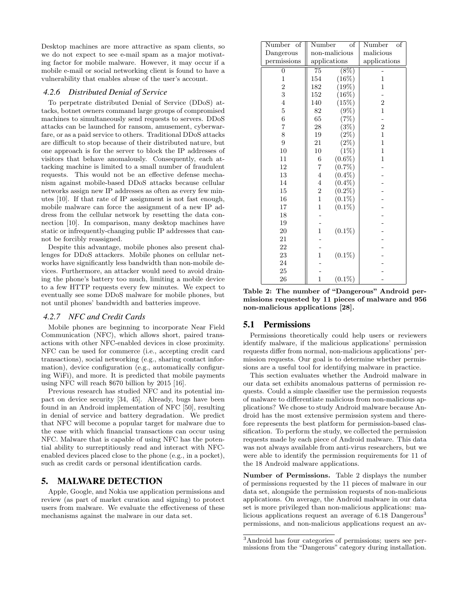Desktop machines are more attractive as spam clients, so we do not expect to see e-mail spam as a major motivating factor for mobile malware. However, it may occur if a mobile e-mail or social networking client is found to have a vulnerability that enables abuse of the user's account.

#### *4.2.6 Distributed Denial of Service*

To perpetrate distributed Denial of Service (DDoS) attacks, botnet owners command large groups of compromised machines to simultaneously send requests to servers. DDoS attacks can be launched for ransom, amusement, cyberwarfare, or as a paid service to others. Traditional DDoS attacks are difficult to stop because of their distributed nature, but one approach is for the server to block the IP addresses of visitors that behave anomalously. Consequently, each attacking machine is limited to a small number of fraudulent requests. This would not be an effective defense mechanism against mobile-based DDoS attacks because cellular networks assign new IP addresses as often as every few minutes [10]. If that rate of IP assignment is not fast enough, mobile malware can force the assignment of a new IP address from the cellular network by resetting the data connection [10]. In comparison, many desktop machines have static or infrequently-changing public IP addresses that cannot be forcibly reassigned.

Despite this advantage, mobile phones also present challenges for DDoS attackers. Mobile phones on cellular networks have significantly less bandwidth than non-mobile devices. Furthermore, an attacker would need to avoid draining the phone's battery too much, limiting a mobile device to a few HTTP requests every few minutes. We expect to eventually see some DDoS malware for mobile phones, but not until phones' bandwidth and batteries improve.

#### *4.2.7 NFC and Credit Cards*

Mobile phones are beginning to incorporate Near Field Communication (NFC), which allows short, paired transactions with other NFC-enabled devices in close proximity. NFC can be used for commerce (i.e., accepting credit card transactions), social networking (e.g., sharing contact information), device configuration (e.g., automatically configuring WiFi), and more. It is predicted that mobile payments using NFC will reach \$670 billion by 2015 [16].

Previous research has studied NFC and its potential impact on device security [34, 45]. Already, bugs have been found in an Android implementation of NFC [50], resulting in denial of service and battery degradation. We predict that NFC will become a popular target for malware due to the ease with which financial transactions can occur using NFC. Malware that is capable of using NFC has the potential ability to surreptitiously read and interact with NFCenabled devices placed close to the phone (e.g., in a pocket), such as credit cards or personal identification cards.

## 5. MALWARE DETECTION

Apple, Google, and Nokia use application permissions and review (as part of market curation and signing) to protect users from malware. We evaluate the effectiveness of these mechanisms against the malware in our data set.

| Number<br>οf     | Number           | оf        | Number<br>οf   |  |
|------------------|------------------|-----------|----------------|--|
| Dangerous        | non-malicious    |           | malicious      |  |
| permissions      | applications     |           | applications   |  |
| 0                | 75               | (8%)      |                |  |
| $\mathbf{1}$     | 154              | (16%)     | $\mathbf{1}$   |  |
| $\overline{c}$   | 182              | (19%)     | $\mathbf{1}$   |  |
| 3                | 152              | (16%)     |                |  |
| $\overline{4}$   | 140              | (15%)     | $\overline{2}$ |  |
| $\overline{5}$   | 82               | $(9\%)$   | $\mathbf{1}$   |  |
| $\sqrt{6}$       | 65               | (7%)      |                |  |
| $\overline{7}$   | 28               | (3%)      | $\overline{2}$ |  |
| 8                | 19               | $(2\%)$   | $\mathbf{1}$   |  |
| $\boldsymbol{9}$ | 21               | $(2\%)$   | $\mathbf{1}$   |  |
| $10\,$           | $10\,$           | (1%)      | $\mathbf{1}$   |  |
| 11               | 6                | $(0.6\%)$ | $\mathbf{1}$   |  |
| 12               | 7                | $(0.7\%)$ |                |  |
| 13               | $\overline{4}$   | $(0.4\%)$ |                |  |
| 14               | $\overline{4}$   | $(0.4\%)$ |                |  |
| 15               | $\boldsymbol{2}$ | $(0.2\%)$ |                |  |
| 16               | $\mathbf{1}$     | $(0.1\%)$ |                |  |
| 17               | $\mathbf{1}$     | $(0.1\%)$ |                |  |
| 18               |                  |           |                |  |
| 19               |                  |           |                |  |
| 20               | $\mathbf{1}$     | $(0.1\%)$ |                |  |
| 21               |                  |           |                |  |
| 22               |                  |           |                |  |
| 23               | $\overline{1}$   | $(0.1\%)$ |                |  |
| 24               |                  |           |                |  |
| 25               |                  |           |                |  |
| 26               | 1                | $(0.1\%)$ |                |  |

Table 2: The number of "Dangerous" Android permissions requested by 11 pieces of malware and 956 non-malicious applications [28].

#### 5.1 Permissions

Permissions theoretically could help users or reviewers identify malware, if the malicious applications' permission requests differ from normal, non-malicious applications' permission requests. Our goal is to determine whether permissions are a useful tool for identifying malware in practice.

This section evaluates whether the Android malware in our data set exhibits anomalous patterns of permission requests. Could a simple classifier use the permission requests of malware to differentiate malicious from non-malicious applications? We chose to study Android malware because Android has the most extensive permission system and therefore represents the best platform for permission-based classification. To perform the study, we collected the permission requests made by each piece of Android malware. This data was not always available from anti-virus researchers, but we were able to identify the permission requirements for 11 of the 18 Android malware applications.

Number of Permissions. Table 2 displays the number of permissions requested by the 11 pieces of malware in our data set, alongside the permission requests of non-malicious applications. On average, the Android malware in our data set is more privileged than non-malicious applications: malicious applications request an average of 6.18 Dangerous<sup>3</sup> permissions, and non-malicious applications request an av-

<sup>3</sup>Android has four categories of permissions; users see permissions from the "Dangerous" category during installation.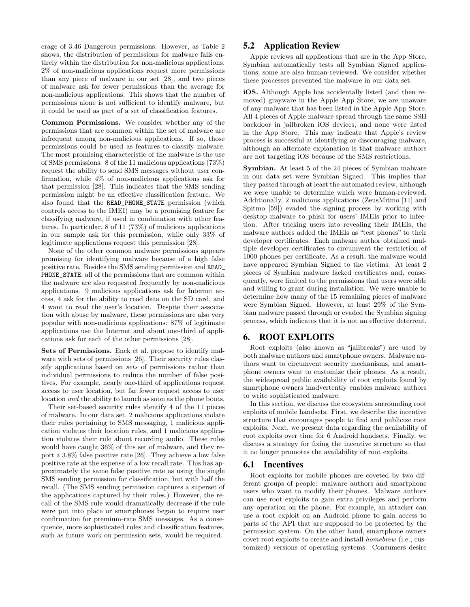erage of 3.46 Dangerous permissions. However, as Table 2 shows, the distribution of permissions for malware falls entirely within the distribution for non-malicious applications. 2% of non-malicious applications request more permissions than any piece of malware in our set [28], and two pieces of malware ask for fewer permissions than the average for non-malicious applications. This shows that the number of permissions alone is not sufficient to identify malware, but it could be used as part of a set of classification features.

Common Permissions. We consider whether any of the permissions that are common within the set of malware are infrequent among non-malicious applications. If so, those permissions could be used as features to classify malware. The most promising characteristic of the malware is the use of SMS permissions. 8 of the 11 malicious applications (73%) request the ability to send SMS messages without user confirmation, while 4% of non-malicious applications ask for that permission [28]. This indicates that the SMS sending permission might be an effective classification feature. We also found that the READ\_PHONE\_STATE permission (which controls access to the IMEI) may be a promising feature for classifying malware, if used in combination with other features. In particular, 8 of 11 (73%) of malicious applications in our sample ask for this permission, while only 33% of legitimate applications request this permission [28].

None of the other common malware permissions appears promising for identifying malware because of a high false positive rate. Besides the SMS sending permission and READ\_ PHONE\_STATE, all of the permissions that are common within the malware are also requested frequently by non-malicious applications. 9 malicious applications ask for Internet access, 4 ask for the ability to read data on the SD card, and 4 want to read the user's location. Despite their association with abuse by malware, these permissions are also very popular with non-malicious applications: 87% of legitimate applications use the Internet and about one-third of applications ask for each of the other permissions [28].

Sets of Permissions. Enck et al. propose to identify malware with sets of permissions [26]. Their security rules classify applications based on sets of permissions rather than individual permissions to reduce the number of false positives. For example, nearly one-third of applications request access to user location, but far fewer request access to user location and the ability to launch as soon as the phone boots.

Their set-based security rules identify 4 of the 11 pieces of malware. In our data set, 2 malicious applications violate their rules pertaining to SMS messaging, 1 malicious application violates their location rules, and 1 malicious application violates their rule about recording audio. These rules would have caught 36% of this set of malware, and they report a 3.8% false positive rate [26]. They achieve a low false positive rate at the expense of a low recall rate. This has approximately the same false positive rate as using the single SMS sending permission for classification, but with half the recall. (The SMS sending permission captures a superset of the applications captured by their rules.) However, the recall of the SMS rule would dramatically decrease if the rule were put into place or smartphones began to require user confirmation for premium-rate SMS messages. As a consequence, more sophisticated rules and classification features, such as future work on permission sets, would be required.

## 5.2 Application Review

Apple reviews all applications that are in the App Store. Symbian automatically tests all Symbian Signed applications; some are also human-reviewed. We consider whether these processes prevented the malware in our data set.

iOS. Although Apple has accidentally listed (and then removed) grayware in the Apple App Store, we are unaware of any malware that has been listed in the Apple App Store. All 4 pieces of Apple malware spread through the same SSH backdoor in jailbroken iOS devices, and none were listed in the App Store. This may indicate that Apple's review process is successful at identifying or discouraging malware, although an alternate explanation is that malware authors are not targeting iOS because of the SMS restrictions.

Symbian. At least 5 of the 24 pieces of Symbian malware in our data set were Symbian Signed. This implies that they passed through at least the automated review, although we were unable to determine which were human-reviewed. Additionally, 2 malicious applications (ZeusMitmo [11] and Spitmo [59]) evaded the signing process by working with desktop malware to phish for users' IMEIs prior to infection. After tricking users into revealing their IMEIs, the malware authors added the IMEIs as "test phones" to their developer certificates. Each malware author obtained multiple developer certificates to circumvent the restriction of 1000 phones per certificate. As a result, the malware would have appeared Symbian Signed to the victims. At least 2 pieces of Symbian malware lacked certificates and, consequently, were limited to the permissions that users were able and willing to grant during installation. We were unable to determine how many of the 15 remaining pieces of malware were Symbian Signed. However, at least 29% of the Symbian malware passed through or evaded the Symbian signing process, which indicates that it is not an effective deterrent.

## 6. ROOT EXPLOITS

Root exploits (also known as "jailbreaks") are used by both malware authors and smartphone owners. Malware authors want to circumvent security mechanisms, and smartphone owners want to customize their phones. As a result, the widespread public availability of root exploits found by smartphone owners inadvertently enables malware authors to write sophisticated malware.

In this section, we discuss the ecosystem surrounding root exploits of mobile handsets. First, we describe the incentive structure that encourages people to find and publicize root exploits. Next, we present data regarding the availability of root exploits over time for 6 Android handsets. Finally, we discuss a strategy for fixing the incentive structure so that it no longer promotes the availability of root exploits.

#### 6.1 Incentives

Root exploits for mobile phones are coveted by two different groups of people: malware authors and smartphone users who want to modify their phones. Malware authors can use root exploits to gain extra privileges and perform any operation on the phone. For example, an attacker can use a root exploit on an Android phone to gain access to parts of the API that are supposed to be protected by the permission system. On the other hand, smartphone owners covet root exploits to create and install homebrew (i.e., customized) versions of operating systems. Consumers desire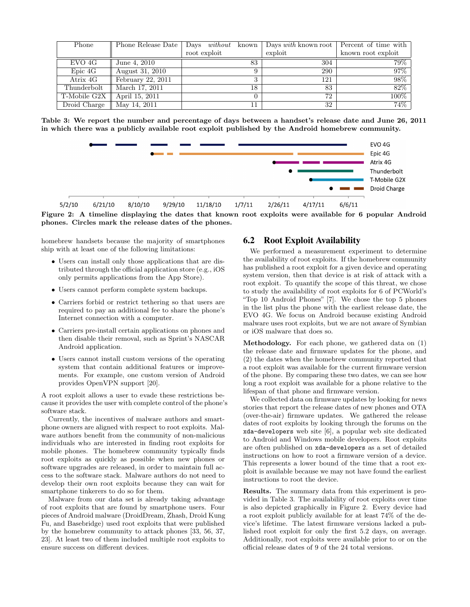| Phone        | Phone Release Date | Days <i>without</i> | known | Days with known root   Percent of time with |                    |
|--------------|--------------------|---------------------|-------|---------------------------------------------|--------------------|
|              |                    | root exploit        |       | exploit                                     | known root exploit |
| EVO 4G       | June 4, 2010       |                     | 83    | 304                                         | 79%                |
| Epic 4G      | August 31, 2010    |                     | 9     | 290                                         | 97%                |
| Atrix 4G     | February 22, 2011  |                     | ົ     | 121                                         | 98%                |
| Thunderbolt  | March 17, 2011     |                     | 18    | 83                                          | 82%                |
| T-Mobile G2X | April 15, 2011     |                     |       | 72                                          | $100\%$            |
| Droid Charge | May 14, $2011$     |                     |       | 32                                          | 74%                |

Table 3: We report the number and percentage of days between a handset's release date and June 26, 2011 in which there was a publicly available root exploit published by the Android homebrew community.



Figure 2: A timeline displaying the dates that known root exploits were available for 6 popular Android phones. Circles mark the release dates of the phones.

homebrew handsets because the majority of smartphones ship with at least one of the following limitations:

- Users can install only those applications that are distributed through the official application store (e.g., iOS only permits applications from the App Store).
- Users cannot perform complete system backups.
- Carriers forbid or restrict tethering so that users are required to pay an additional fee to share the phone's Internet connection with a computer.
- Carriers pre-install certain applications on phones and then disable their removal, such as Sprint's NASCAR Android application.
- Users cannot install custom versions of the operating system that contain additional features or improvements. For example, one custom version of Android provides OpenVPN support [20].

A root exploit allows a user to evade these restrictions because it provides the user with complete control of the phone's software stack.

Currently, the incentives of malware authors and smartphone owners are aligned with respect to root exploits. Malware authors benefit from the community of non-malicious individuals who are interested in finding root exploits for mobile phones. The homebrew community typically finds root exploits as quickly as possible when new phones or software upgrades are released, in order to maintain full access to the software stack. Malware authors do not need to develop their own root exploits because they can wait for smartphone tinkerers to do so for them.

Malware from our data set is already taking advantage of root exploits that are found by smartphone users. Four pieces of Android malware (DroidDream, Zhash, Droid Kung Fu, and Basebridge) used root exploits that were published by the homebrew community to attack phones [33, 56, 37, 23]. At least two of them included multiple root exploits to ensure success on different devices.

#### 6.2 Root Exploit Availability

We performed a measurement experiment to determine the availability of root exploits. If the homebrew community has published a root exploit for a given device and operating system version, then that device is at risk of attack with a root exploit. To quantify the scope of this threat, we chose to study the availability of root exploits for 6 of PCWorld's "Top 10 Android Phones" [7]. We chose the top 5 phones in the list plus the phone with the earliest release date, the EVO 4G. We focus on Android because existing Android malware uses root exploits, but we are not aware of Symbian or iOS malware that does so.

Methodology. For each phone, we gathered data on (1) the release date and firmware updates for the phone, and (2) the dates when the homebrew community reported that a root exploit was available for the current firmware version of the phone. By comparing these two dates, we can see how long a root exploit was available for a phone relative to the lifespan of that phone and firmware version.

We collected data on firmware updates by looking for news stories that report the release dates of new phones and OTA (over-the-air) firmware updates. We gathered the release dates of root exploits by looking through the forums on the xda-developers web site [6], a popular web site dedicated to Android and Windows mobile developers. Root exploits are often published on xda-developers as a set of detailed instructions on how to root a firmware version of a device. This represents a lower bound of the time that a root exploit is available because we may not have found the earliest instructions to root the device.

Results. The summary data from this experiment is provided in Table 3. The availability of root exploits over time is also depicted graphically in Figure 2. Every device had a root exploit publicly available for at least 74% of the device's lifetime. The latest firmware versions lacked a published root exploit for only the first 5.2 days, on average. Additionally, root exploits were available prior to or on the official release dates of 9 of the 24 total versions.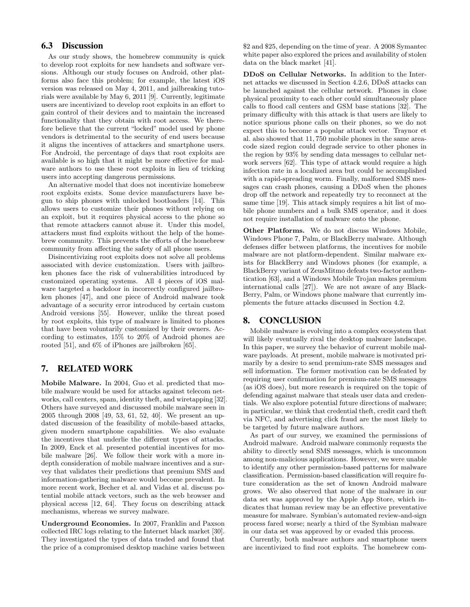## 6.3 Discussion

As our study shows, the homebrew community is quick to develop root exploits for new handsets and software versions. Although our study focuses on Android, other platforms also face this problem; for example, the latest iOS version was released on May 4, 2011, and jailbreaking tutorials were available by May 6, 2011 [9]. Currently, legitimate users are incentivized to develop root exploits in an effort to gain control of their devices and to maintain the increased functionality that they obtain with root access. We therefore believe that the current "locked" model used by phone vendors is detrimental to the security of end users because it aligns the incentives of attackers and smartphone users. For Android, the percentage of days that root exploits are available is so high that it might be more effective for malware authors to use these root exploits in lieu of tricking users into accepting dangerous permissions.

An alternative model that does not incentivize homebrew root exploits exists. Some device manufacturers have begun to ship phones with unlocked bootloaders [14]. This allows users to customize their phones without relying on an exploit, but it requires physical access to the phone so that remote attackers cannot abuse it. Under this model, attackers must find exploits without the help of the homebrew community. This prevents the efforts of the homebrew community from affecting the safety of all phone users.

Disincentivizing root exploits does not solve all problems associated with device customization. Users with jailbroken phones face the risk of vulnerabilities introduced by customized operating systems. All 4 pieces of iOS malware targeted a backdoor in incorrectly configured jailbroken phones [47], and one piece of Android malware took advantage of a security error introduced by certain custom Android versions [55]. However, unlike the threat posed by root exploits, this type of malware is limited to phones that have been voluntarily customized by their owners. According to estimates, 15% to 20% of Android phones are rooted [51], and 6% of iPhones are jailbroken [65].

## 7. RELATED WORK

Mobile Malware. In 2004, Guo et al. predicted that mobile malware would be used for attacks against telecom networks, call centers, spam, identity theft, and wiretapping [32]. Others have surveyed and discussed mobile malware seen in 2005 through 2008 [49, 53, 61, 52, 40]. We present an updated discussion of the feasibility of mobile-based attacks, given modern smartphone capabilities. We also evaluate the incentives that underlie the different types of attacks. In 2009, Enck et al. presented potential incentives for mobile malware [26]. We follow their work with a more indepth consideration of mobile malware incentives and a survey that validates their predictions that premium SMS and information-gathering malware would become prevalent. In more recent work, Becher et al. and Vidas et al. discuss potential mobile attack vectors, such as the web browser and physical access [12, 64]. They focus on describing attack mechanisms, whereas we survey malware.

Underground Economies. In 2007, Franklin and Paxson collected IRC logs relating to the Internet black market [30]. They investigated the types of data traded and found that the price of a compromised desktop machine varies between \$2 and \$25, depending on the time of year. A 2008 Symantec white paper also explored the prices and availability of stolen data on the black market [41].

DDoS on Cellular Networks. In addition to the Internet attacks we discussed in Section 4.2.6, DDoS attacks can be launched against the cellular network. Phones in close physical proximity to each other could simultaneously place calls to flood call centers and GSM base stations [32]. The primary difficulty with this attack is that users are likely to notice spurious phone calls on their phones, so we do not expect this to become a popular attack vector. Traynor et al. also showed that 11, 750 mobile phones in the same areacode sized region could degrade service to other phones in the region by 93% by sending data messages to cellular network servers [62]. This type of attack would require a high infection rate in a localized area but could be accomplished with a rapid-spreading worm. Finally, malformed SMS messages can crash phones, causing a DDoS when the phones drop off the network and repeatedly try to reconnect at the same time [19]. This attack simply requires a hit list of mobile phone numbers and a bulk SMS operator, and it does not require installation of malware onto the phone.

Other Platforms. We do not discuss Windows Mobile, Windows Phone 7, Palm, or BlackBerry malware. Although defenses differ between platforms, the incentives for mobile malware are not platform-dependent. Similar malware exists for BlackBerry and Windows phones (for example, a BlackBerry variant of ZeusMitmo defeats two-factor authentication [63], and a Windows Mobile Trojan makes premium international calls [27]). We are not aware of any Black-Berry, Palm, or Windows phone malware that currently implements the future attacks discussed in Section 4.2.

## 8. CONCLUSION

Mobile malware is evolving into a complex ecosystem that will likely eventually rival the desktop malware landscape. In this paper, we survey the behavior of current mobile malware payloads. At present, mobile malware is motivated primarily by a desire to send premium-rate SMS messages and sell information. The former motivation can be defeated by requiring user confirmation for premium-rate SMS messages (as iOS does), but more research is required on the topic of defending against malware that steals user data and credentials. We also explore potential future directions of malware; in particular, we think that credential theft, credit card theft via NFC, and advertising click fraud are the most likely to be targeted by future malware authors.

As part of our survey, we examined the permissions of Android malware. Android malware commonly requests the ability to directly send SMS messages, which is uncommon among non-malicious applications. However, we were unable to identify any other permission-based patterns for malware classification. Permission-based classification will require future consideration as the set of known Android malware grows. We also observed that none of the malware in our data set was approved by the Apple App Store, which indicates that human review may be an effective preventative measure for malware. Symbian's automated review-and-sign process fared worse; nearly a third of the Symbian malware in our data set was approved by or evaded this process.

Currently, both malware authors and smartphone users are incentivized to find root exploits. The homebrew com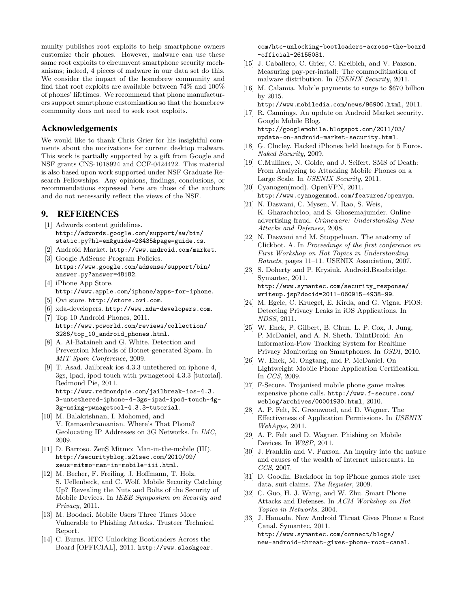munity publishes root exploits to help smartphone owners customize their phones. However, malware can use these same root exploits to circumvent smartphone security mechanisms; indeed, 4 pieces of malware in our data set do this. We consider the impact of the homebrew community and find that root exploits are available between 74% and 100% of phones' lifetimes. We recommend that phone manufacturers support smartphone customization so that the homebrew community does not need to seek root exploits.

#### Acknowledgements

We would like to thank Chris Grier for his insightful comments about the motivations for current desktop malware. This work is partially supported by a gift from Google and NSF grants CNS-1018924 and CCF-0424422. This material is also based upon work supported under NSF Graduate Research Fellowships. Any opinions, findings, conclusions, or recommendations expressed here are those of the authors and do not necessarily reflect the views of the NSF.

## 9. REFERENCES

- [1] Adwords content guidelines. http://adwords.google.com/support/aw/bin/ static.py?hl=en&guide=28435&page=guide.cs.
- [2] Android Market. http://www.android.com/market.
- [3] Google AdSense Program Policies. https://www.google.com/adsense/support/bin/ answer.py?answer=48182.
- [4] iPhone App Store. http://www.apple.com/iphone/apps-for-iphone.
- [5] Ovi store. http://store.ovi.com.
- [6] xda-developers. http://www.xda-developers.com.
- [7] Top 10 Android Phones, 2011. http://www.pcworld.com/reviews/collection/ 3286/top\_10\_android\_phones.html.
- [8] A. Al-Bataineh and G. White. Detection and Prevention Methods of Botnet-generated Spam. In MIT Spam Conference, 2009.
- [9] T. Asad. Jailbreak ios 4.3.3 untethered on iphone 4, 3gs, ipad, ipod touch with pwnagetool 4.3.3 [tutorial]. Redmond Pie, 2011. http://www.redmondpie.com/jailbreak-ios-4.3. 3-untethered-iphone-4-3gs-ipad-ipod-touch-4g-3g-using-pwnagetool-4.3.3-tutorial.
- [10] M. Balakrishnan, I. Mohomed, and V. Ramasubramanian. Where's That Phone? Geolocating IP Addresses on 3G Networks. In IMC, 2009.
- [11] D. Barroso. ZeuS Mitmo: Man-in-the-mobile (III). http://securityblog.s21sec.com/2010/09/ zeus-mitmo-man-in-mobile-iii.html.
- [12] M. Becher, F. Freiling, J. Hoffmann, T. Holz, S. Uellenbeck, and C. Wolf. Mobile Security Catching Up? Revealing the Nuts and Bolts of the Security of Mobile Devices. In IEEE Symposium on Security and Privacy, 2011.
- [13] M. Boodaei. Mobile Users Three Times More Vulnerable to Phishing Attacks. Trusteer Technical Report.
- [14] C. Burns. HTC Unlocking Bootloaders Across the Board [OFFICIAL], 2011. http://www.slashgear.

com/htc-unlocking-bootloaders-across-the-board -official-26155031.

- [15] J. Caballero, C. Grier, C. Kreibich, and V. Paxson. Measuring pay-per-install: The commoditization of malware distribution. In USENIX Security, 2011.
- [16] M. Calamia. Mobile payments to surge to \$670 billion by 2015.

http://www.mobiledia.com/news/96900.html, 2011.

- [17] R. Cannings. An update on Android Market security. Google Mobile Blog. http://googlemobile.blogspot.com/2011/03/ update-on-android-market-security.html.
- [18] G. Clucley. Hacked iPhones held hostage for 5 Euros. Naked Security, 2009.
- [19] C.Mulliner, N. Golde, and J. Seifert. SMS of Death: From Analyzing to Attacking Mobile Phones on a Large Scale. In USENIX Security, 2011.
- [20] Cyanogen(mod). OpenVPN, 2011. http://www.cyanogenmod.com/features/openvpn.
- [21] N. Daswani, C. Mysen, V. Rao, S. Weis, K. Gharachorloo, and S. Ghosemajumder. Online advertising fraud. Crimeware: Understanding New Attacks and Defenses, 2008.
- [22] N. Daswani and M. Stoppelman. The anatomy of Clickbot. A. In Proceedings of the first conference on First Workshop on Hot Topics in Understanding Botnets, pages 11–11. USENIX Association, 2007.
- [23] S. Doherty and P. Krysiuk. Android.Basebridge. Symantec, 2011. http://www.symantec.com/security\_response/ writeup.jsp?docid=2011-060915-4938-99.
- [24] M. Egele, C. Kruegel, E. Kirda, and G. Vigna. PiOS: Detecting Privacy Leaks in iOS Applications. In NDSS, 2011.
- [25] W. Enck, P. Gilbert, B. Chun, L. P. Cox, J. Jung, P. McDaniel, and A. N. Sheth. TaintDroid: An Information-Flow Tracking System for Realtime Privacy Monitoring on Smartphones. In OSDI, 2010.
- [26] W. Enck, M. Ongtang, and P. McDaniel. On Lightweight Mobile Phone Application Certification. In CCS, 2009.
- [27] F-Secure. Trojanised mobile phone game makes expensive phone calls. http://www.f-secure.com/ weblog/archives/00001930.html, 2010.
- [28] A. P. Felt, K. Greenwood, and D. Wagner. The Effectiveness of Application Permissions. In USENIX WebApps, 2011.
- [29] A. P. Felt and D. Wagner. Phishing on Mobile Devices. In W2SP, 2011.
- [30] J. Franklin and V. Paxson. An inquiry into the nature and causes of the wealth of Internet miscreants. In CCS, 2007.
- [31] D. Goodin. Backdoor in top iPhone games stole user data, suit claims. The Register, 2009.
- [32] C. Guo, H. J. Wang, and W. Zhu. Smart Phone Attacks and Defenses. In ACM Workshop on Hot Topics in Networks, 2004.
- [33] J. Hamada. New Android Threat Gives Phone a Root Canal. Symantec, 2011. http://www.symantec.com/connect/blogs/ new-android-threat-gives-phone-root-canal.